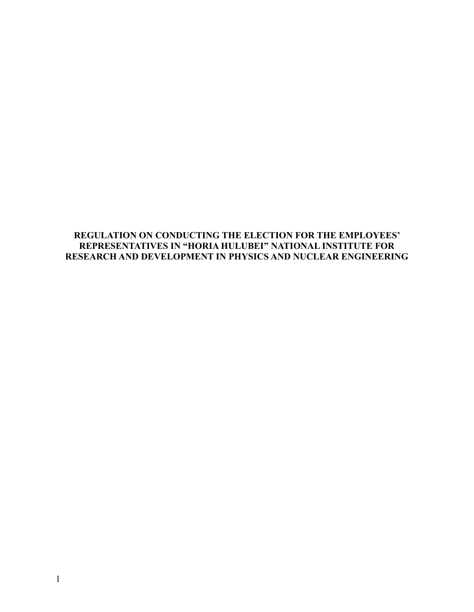## **REGULATION ON CONDUCTING THE ELECTION FOR THE EMPLOYEES' REPRESENTATIVES IN "HORIA HULUBEI" NATIONAL INSTITUTE FOR RESEARCH AND DEVELOPMENT IN PHYSICS AND NUCLEAR ENGINEERING**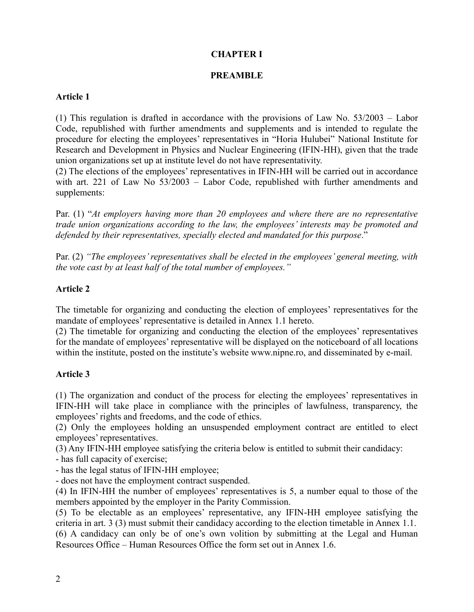# **CHAPTER I**

## **PREAMBLE**

## **Article 1**

(1) This regulation is drafted in accordance with the provisions of Law No. 53/2003 – Labor Code, republished with further amendments and supplements and is intended to regulate the procedure for electing the employees' representatives in "Horia Hulubei" National Institute for Research and Development in Physics and Nuclear Engineering (IFIN-HH), given that the trade union organizations set up at institute level do not have representativity.

(2) The elections of the employees' representatives in IFIN-HH will be carried out in accordance with art. 221 of Law No 53/2003 – Labor Code, republished with further amendments and supplements:

Par. (1) "*At employers having more than 20 employees and where there are no representative trade union organizations according to the law, the employees' interests may be promoted and defended by their representatives, specially elected and mandated for this purpose*."

Par. (2) *"The employees' representatives shall be elected in the employees' general meeting, with the vote cast by at least half of the total number of employees."*

## **Article 2**

The timetable for organizing and conducting the election of employees' representatives for the mandate of employees' representative is detailed in Annex 1.1 hereto.

(2) The timetable for organizing and conducting the election of the employees' representatives for the mandate of employees' representative will be displayed on the noticeboard of all locations within the institute, posted on the institute's website [www.nipne.ro,](http://www.nipne.ro/) and disseminated by e-mail.

## **Article 3**

(1) The organization and conduct of the process for electing the employees' representatives in IFIN-HH will take place in compliance with the principles of lawfulness, transparency, the employees' rights and freedoms, and the code of ethics.

(2) Only the employees holding an unsuspended employment contract are entitled to elect employees' representatives.

(3) Any IFIN-HH employee satisfying the criteria below is entitled to submit their candidacy:

- has full capacity of exercise;

- has the legal status of IFIN-HH employee;

- does not have the employment contract suspended.

(4) In IFIN-HH the number of employees' representatives is 5, a number equal to those of the members appointed by the employer in the Parity Commission.

(5) To be electable as an employees' representative, any IFIN-HH employee satisfying the criteria in art. 3 (3) must submit their candidacy according to the election timetable in Annex 1.1. (6) A candidacy can only be of one's own volition by submitting at the Legal and Human Resources Office – Human Resources Office the form set out in Annex 1.6.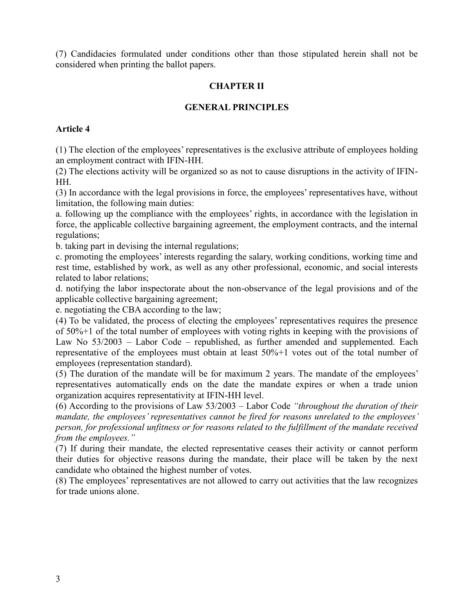(7) Candidacies formulated under conditions other than those stipulated herein shall not be considered when printing the ballot papers.

# **CHAPTER II**

## **GENERAL PRINCIPLES**

#### **Article 4**

(1) The election of the employees' representatives is the exclusive attribute of employees holding an employment contract with IFIN-HH.

(2) The elections activity will be organized so as not to cause disruptions in the activity of IFIN-HH.

(3) In accordance with the legal provisions in force, the employees' representatives have, without limitation, the following main duties:

a. following up the compliance with the employees' rights, in accordance with the legislation in force, the applicable collective bargaining agreement, the employment contracts, and the internal regulations;

b. taking part in devising the internal regulations;

c. promoting the employees' interests regarding the salary, working conditions, working time and rest time, established by work, as well as any other professional, economic, and social interests related to labor relations;

d. notifying the labor inspectorate about the non-observance of the legal provisions and of the applicable collective bargaining agreement;

e. negotiating the CBA according to the law;

(4) To be validated, the process of electing the employees' representatives requires the presence of 50%+1 of the total number of employees with voting rights in keeping with the provisions of Law No 53/2003 – Labor Code – republished, as further amended and supplemented. Each representative of the employees must obtain at least 50%+1 votes out of the total number of employees (representation standard).

(5) The duration of the mandate will be for maximum 2 years. The mandate of the employees' representatives automatically ends on the date the mandate expires or when a trade union organization acquires representativity at IFIN-HH level.

(6) According to the provisions of Law 53/2003 – Labor Code *"throughout the duration of their mandate, the employees' representatives cannot be fired for reasons unrelated to the employees' person, for professional unfitness or for reasons related to the fulfillment of the mandate received from the employees."* 

(7) If during their mandate, the elected representative ceases their activity or cannot perform their duties for objective reasons during the mandate, their place will be taken by the next candidate who obtained the highest number of votes.

(8) The employees' representatives are not allowed to carry out activities that the law recognizes for trade unions alone.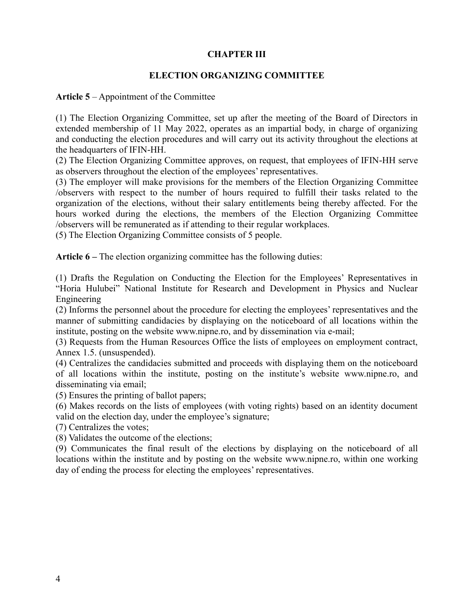## **CHAPTER III**

#### **ELECTION ORGANIZING COMMITTEE**

**Article 5** – Appointment of the Committee

(1) The Election Organizing Committee, set up after the meeting of the Board of Directors in extended membership of 11 May 2022, operates as an impartial body, in charge of organizing and conducting the election procedures and will carry out its activity throughout the elections at the headquarters of IFIN-HH.

(2) The Election Organizing Committee approves, on request, that employees of IFIN-HH serve as observers throughout the election of the employees' representatives.

(3) The employer will make provisions for the members of the Election Organizing Committee /observers with respect to the number of hours required to fulfill their tasks related to the organization of the elections, without their salary entitlements being thereby affected. For the hours worked during the elections, the members of the Election Organizing Committee /observers will be remunerated as if attending to their regular workplaces.

(5) The Election Organizing Committee consists of 5 people.

**Article 6 –** The election organizing committee has the following duties:

(1) Drafts the Regulation on Conducting the Election for the Employees' Representatives in "Horia Hulubei" National Institute for Research and Development in Physics and Nuclear Engineering

(2) Informs the personnel about the procedure for electing the employees' representatives and the manner of submitting candidacies by displaying on the noticeboard of all locations within the institute, posting on the website [www.nipne.ro,](http://www.nipne.ro/) and by dissemination via e-mail;

(3) Requests from the Human Resources Office the lists of employees on employment contract, Annex 1.5. (unsuspended).

(4) Centralizes the candidacies submitted and proceeds with displaying them on the noticeboard of all locations within the institute, posting on the institute's website [www.nipne.ro,](http://www.nipne.ro/) and disseminating via email;

(5) Ensures the printing of ballot papers;

(6) Makes records on the lists of employees (with voting rights) based on an identity document valid on the election day, under the employee's signature;

(7) Centralizes the votes;

(8) Validates the outcome of the elections;

(9) Communicates the final result of the elections by displaying on the noticeboard of all locations within the institute and by posting on the website [www.nipne.ro,](http://www.nipne.ro/) within one working day of ending the process for electing the employees' representatives.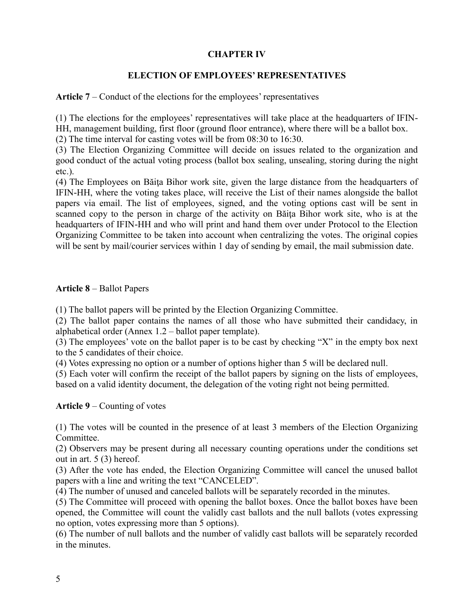## **CHAPTER IV**

## **ELECTION OF EMPLOYEES' REPRESENTATIVES**

**Article 7** – Conduct of the elections for the employees' representatives

(1) The elections for the employees' representatives will take place at the headquarters of IFIN-HH, management building, first floor (ground floor entrance), where there will be a ballot box.

(2) The time interval for casting votes will be from 08:30 to 16:30.

(3) The Election Organizing Committee will decide on issues related to the organization and good conduct of the actual voting process (ballot box sealing, unsealing, storing during the night etc.).

(4) The Employees on Băiţa Bihor work site, given the large distance from the headquarters of IFIN-HH, where the voting takes place, will receive the List of their names alongside the ballot papers via email. The list of employees, signed, and the voting options cast will be sent in scanned copy to the person in charge of the activity on Băita Bihor work site, who is at the headquarters of IFIN-HH and who will print and hand them over under Protocol to the Election Organizing Committee to be taken into account when centralizing the votes. The original copies will be sent by mail/courier services within 1 day of sending by email, the mail submission date.

# **Article 8** – Ballot Papers

(1) The ballot papers will be printed by the Election Organizing Committee.

(2) The ballot paper contains the names of all those who have submitted their candidacy, in alphabetical order (Annex 1.2 – ballot paper template).

(3) The employees' vote on the ballot paper is to be cast by checking "X" in the empty box next to the 5 candidates of their choice.

(4) Votes expressing no option or a number of options higher than 5 will be declared null.

(5) Each voter will confirm the receipt of the ballot papers by signing on the lists of employees, based on a valid identity document, the delegation of the voting right not being permitted.

**Article 9** – Counting of votes

(1) The votes will be counted in the presence of at least 3 members of the Election Organizing Committee.

(2) Observers may be present during all necessary counting operations under the conditions set out in art. 5 (3) hereof.

(3) After the vote has ended, the Election Organizing Committee will cancel the unused ballot papers with a line and writing the text "CANCELED".

(4) The number of unused and canceled ballots will be separately recorded in the minutes.

(5) The Committee will proceed with opening the ballot boxes. Once the ballot boxes have been opened, the Committee will count the validly cast ballots and the null ballots (votes expressing no option, votes expressing more than 5 options).

(6) The number of null ballots and the number of validly cast ballots will be separately recorded in the minutes.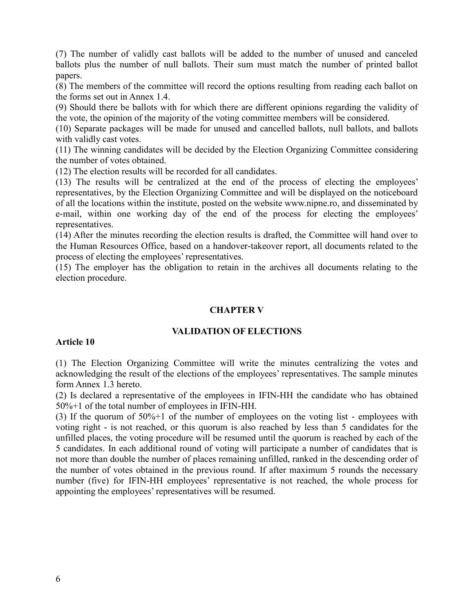(7) The number of validly cast ballots will be added to the number of unused and canceled ballots plus the number of null ballots. Their sum must match the number of printed ballot papers.

(8) The members of the committee will record the options resulting from reading each ballot on the forms set out in Annex 1.4.

(9) Should there be ballots with for which there are different opinions regarding the validity of the vote, the opinion of the majority of the voting committee members will be considered.

(10) Separate packages will be made for unused and cancelled ballots, null ballots, and ballots with validly cast votes.

(11) The winning candidates will be decided by the Election Organizing Committee considering the number of votes obtained.

(12) The election results will be recorded for all candidates.

(13) The results will be centralized at the end of the process of electing the employees' representatives, by the Election Organizing Committee and will be displayed on the noticeboard of all the locations within the institute, posted on the website [www.nipne.ro,](http://www.nipne.ro/) and disseminated by e-mail, within one working day of the end of the process for electing the employees' representatives.

(14) After the minutes recording the election results is drafted, the Committee will hand over to the Human Resources Office, based on a handover-takeover report, all documents related to the process of electing the employees' representatives.

(15) The employer has the obligation to retain in the archives all documents relating to the election procedure.

### **CHAPTER V**

#### **VALIDATION OF ELECTIONS**

#### **Article 10**

(1) The Election Organizing Committee will write the minutes centralizing the votes and acknowledging the result of the elections of the employees' representatives. The sample minutes form Annex 1.3 hereto.

(2) Is declared a representative of the employees in IFIN-HH the candidate who has obtained 50%+1 of the total number of employees in IFIN-HH.

(3) If the quorum of 50%+1 of the number of employees on the voting list - employees with voting right - is not reached, or this quorum is also reached by less than 5 candidates for the unfilled places, the voting procedure will be resumed until the quorum is reached by each of the 5 candidates. In each additional round of voting will participate a number of candidates that is not more than double the number of places remaining unfilled, ranked in the descending order of the number of votes obtained in the previous round. If after maximum 5 rounds the necessary number (five) for IFIN-HH employees' representative is not reached, the whole process for appointing the employees' representatives will be resumed.